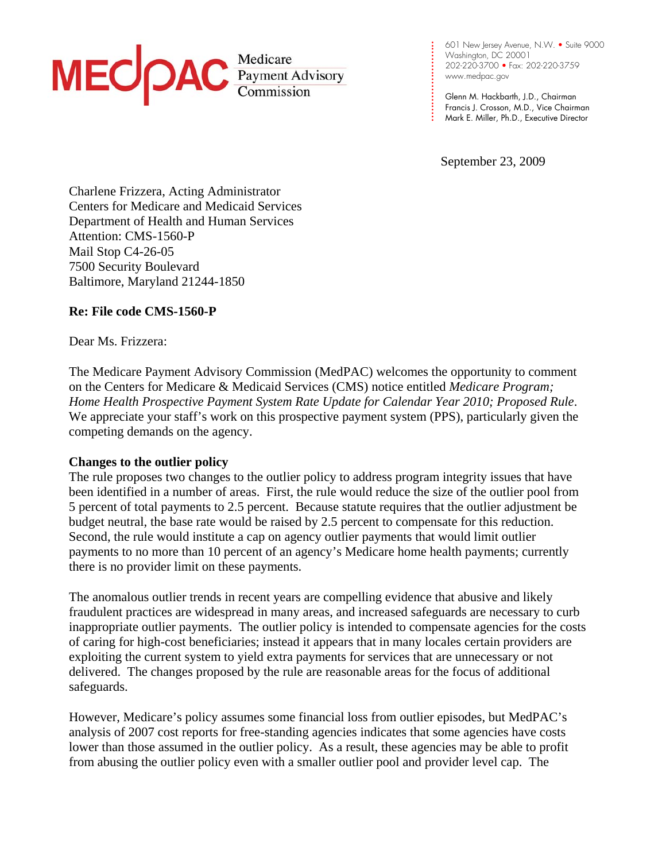

**. . . . .**  202-220-3700 • Fax: 202-220-3759 **. . . . .**  www.medpac.gov 601 New Jersey Avenue, N.W. • Suite 9000 Washington, DC 20001

**. . . . . .**  Glenn M. Hackbarth, J.D., Chairman Francis J. Crosson, M.D., Vice Chairman Mark E. Miller, Ph.D., Executive Director

September 23, 2009

**. . . .** 

**. . . .**

Charlene Frizzera, Acting Administrator Centers for Medicare and Medicaid Services Department of Health and Human Services Attention: CMS-1560-P Mail Stop C4-26-05 7500 Security Boulevard Baltimore, Maryland 21244-1850

## **Re: File code CMS-1560-P**

Dear Ms. Frizzera:

The Medicare Payment Advisory Commission (MedPAC) welcomes the opportunity to comment on the Centers for Medicare & Medicaid Services (CMS) notice entitled *Medicare Program; Home Health Prospective Payment System Rate Update for Calendar Year 2010; Proposed Rule*. We appreciate your staff's work on this prospective payment system (PPS), particularly given the competing demands on the agency.

#### **Changes to the outlier policy**

The rule proposes two changes to the outlier policy to address program integrity issues that have been identified in a number of areas. First, the rule would reduce the size of the outlier pool from 5 percent of total payments to 2.5 percent. Because statute requires that the outlier adjustment be budget neutral, the base rate would be raised by 2.5 percent to compensate for this reduction. Second, the rule would institute a cap on agency outlier payments that would limit outlier payments to no more than 10 percent of an agency's Medicare home health payments; currently there is no provider limit on these payments.

The anomalous outlier trends in recent years are compelling evidence that abusive and likely fraudulent practices are widespread in many areas, and increased safeguards are necessary to curb inappropriate outlier payments. The outlier policy is intended to compensate agencies for the costs of caring for high-cost beneficiaries; instead it appears that in many locales certain providers are exploiting the current system to yield extra payments for services that are unnecessary or not delivered. The changes proposed by the rule are reasonable areas for the focus of additional safeguards.

However, Medicare's policy assumes some financial loss from outlier episodes, but MedPAC's analysis of 2007 cost reports for free-standing agencies indicates that some agencies have costs lower than those assumed in the outlier policy. As a result, these agencies may be able to profit from abusing the outlier policy even with a smaller outlier pool and provider level cap. The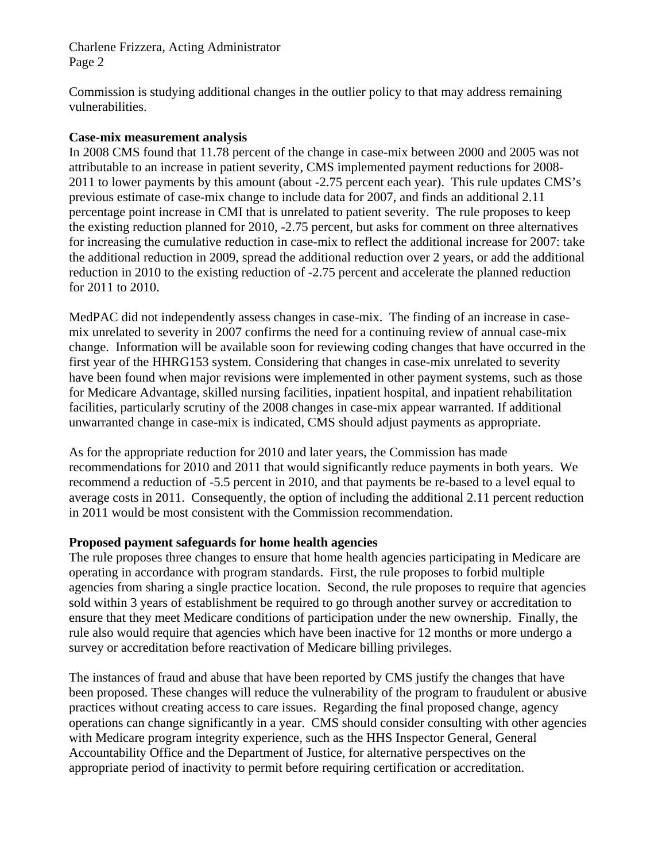Charlene Frizzera, Acting Administrator Page 2

Commission is studying additional changes in the outlier policy to that may address remaining vulnerabilities.

## **Case-mix measurement analysis**

In 2008 CMS found that 11.78 percent of the change in case-mix between 2000 and 2005 was not attributable to an increase in patient severity, CMS implemented payment reductions for 2008- 2011 to lower payments by this amount (about -2.75 percent each year). This rule updates CMS's previous estimate of case-mix change to include data for 2007, and finds an additional 2.11 percentage point increase in CMI that is unrelated to patient severity. The rule proposes to keep the existing reduction planned for 2010, -2.75 percent, but asks for comment on three alternatives for increasing the cumulative reduction in case-mix to reflect the additional increase for 2007: take the additional reduction in 2009, spread the additional reduction over 2 years, or add the additional reduction in 2010 to the existing reduction of -2.75 percent and accelerate the planned reduction for 2011 to 2010.

MedPAC did not independently assess changes in case-mix. The finding of an increase in casemix unrelated to severity in 2007 confirms the need for a continuing review of annual case-mix change. Information will be available soon for reviewing coding changes that have occurred in the first year of the HHRG153 system. Considering that changes in case-mix unrelated to severity have been found when major revisions were implemented in other payment systems, such as those for Medicare Advantage, skilled nursing facilities, inpatient hospital, and inpatient rehabilitation facilities, particularly scrutiny of the 2008 changes in case-mix appear warranted. If additional unwarranted change in case-mix is indicated, CMS should adjust payments as appropriate.

As for the appropriate reduction for 2010 and later years, the Commission has made recommendations for 2010 and 2011 that would significantly reduce payments in both years. We recommend a reduction of -5.5 percent in 2010, and that payments be re-based to a level equal to average costs in 2011. Consequently, the option of including the additional 2.11 percent reduction in 2011 would be most consistent with the Commission recommendation.

# **Proposed payment safeguards for home health agencies**

The rule proposes three changes to ensure that home health agencies participating in Medicare are operating in accordance with program standards. First, the rule proposes to forbid multiple agencies from sharing a single practice location. Second, the rule proposes to require that agencies sold within 3 years of establishment be required to go through another survey or accreditation to ensure that they meet Medicare conditions of participation under the new ownership. Finally, the rule also would require that agencies which have been inactive for 12 months or more undergo a survey or accreditation before reactivation of Medicare billing privileges.

The instances of fraud and abuse that have been reported by CMS justify the changes that have been proposed. These changes will reduce the vulnerability of the program to fraudulent or abusive practices without creating access to care issues. Regarding the final proposed change, agency operations can change significantly in a year. CMS should consider consulting with other agencies with Medicare program integrity experience, such as the HHS Inspector General, General Accountability Office and the Department of Justice, for alternative perspectives on the appropriate period of inactivity to permit before requiring certification or accreditation.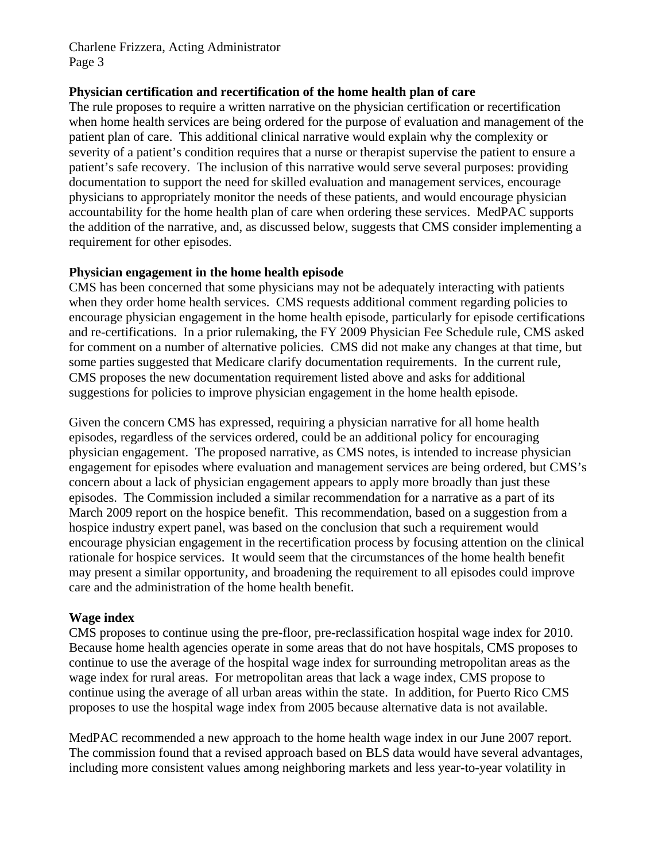Charlene Frizzera, Acting Administrator Page 3

### **Physician certification and recertification of the home health plan of care**

The rule proposes to require a written narrative on the physician certification or recertification when home health services are being ordered for the purpose of evaluation and management of the patient plan of care. This additional clinical narrative would explain why the complexity or severity of a patient's condition requires that a nurse or therapist supervise the patient to ensure a patient's safe recovery. The inclusion of this narrative would serve several purposes: providing documentation to support the need for skilled evaluation and management services, encourage physicians to appropriately monitor the needs of these patients, and would encourage physician accountability for the home health plan of care when ordering these services. MedPAC supports the addition of the narrative, and, as discussed below, suggests that CMS consider implementing a requirement for other episodes.

## **Physician engagement in the home health episode**

CMS has been concerned that some physicians may not be adequately interacting with patients when they order home health services. CMS requests additional comment regarding policies to encourage physician engagement in the home health episode, particularly for episode certifications and re-certifications. In a prior rulemaking, the FY 2009 Physician Fee Schedule rule, CMS asked for comment on a number of alternative policies. CMS did not make any changes at that time, but some parties suggested that Medicare clarify documentation requirements. In the current rule, CMS proposes the new documentation requirement listed above and asks for additional suggestions for policies to improve physician engagement in the home health episode.

Given the concern CMS has expressed, requiring a physician narrative for all home health episodes, regardless of the services ordered, could be an additional policy for encouraging physician engagement. The proposed narrative, as CMS notes, is intended to increase physician engagement for episodes where evaluation and management services are being ordered, but CMS's concern about a lack of physician engagement appears to apply more broadly than just these episodes. The Commission included a similar recommendation for a narrative as a part of its March 2009 report on the hospice benefit. This recommendation, based on a suggestion from a hospice industry expert panel, was based on the conclusion that such a requirement would encourage physician engagement in the recertification process by focusing attention on the clinical rationale for hospice services. It would seem that the circumstances of the home health benefit may present a similar opportunity, and broadening the requirement to all episodes could improve care and the administration of the home health benefit.

# **Wage index**

CMS proposes to continue using the pre-floor, pre-reclassification hospital wage index for 2010. Because home health agencies operate in some areas that do not have hospitals, CMS proposes to continue to use the average of the hospital wage index for surrounding metropolitan areas as the wage index for rural areas. For metropolitan areas that lack a wage index, CMS propose to continue using the average of all urban areas within the state. In addition, for Puerto Rico CMS proposes to use the hospital wage index from 2005 because alternative data is not available.

MedPAC recommended a new approach to the home health wage index in our June 2007 report. The commission found that a revised approach based on BLS data would have several advantages, including more consistent values among neighboring markets and less year-to-year volatility in